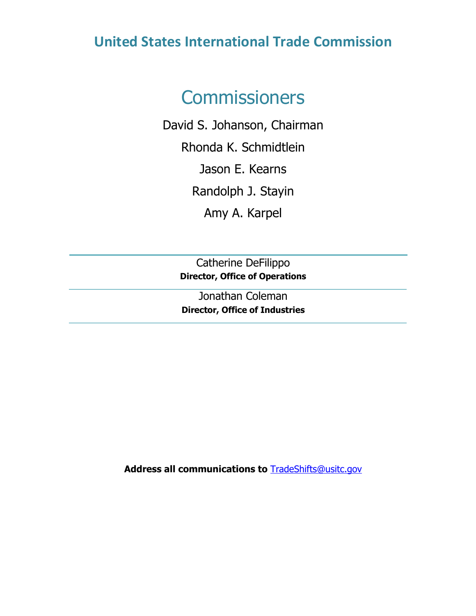# **United States International Trade Commission**

# **Commissioners**

David S. Johanson, Chairman Rhonda K. Schmidtlein Jason E. Kearns Randolph J. Stayin Amy A. Karpel

> Catherine DeFilippo **Director, Office of Operations**

> Jonathan Coleman **Director, Office of Industries**

**Address all communications to** [TradeShifts@usitc.gov](mailto:TradeShifts@usitc.gov)